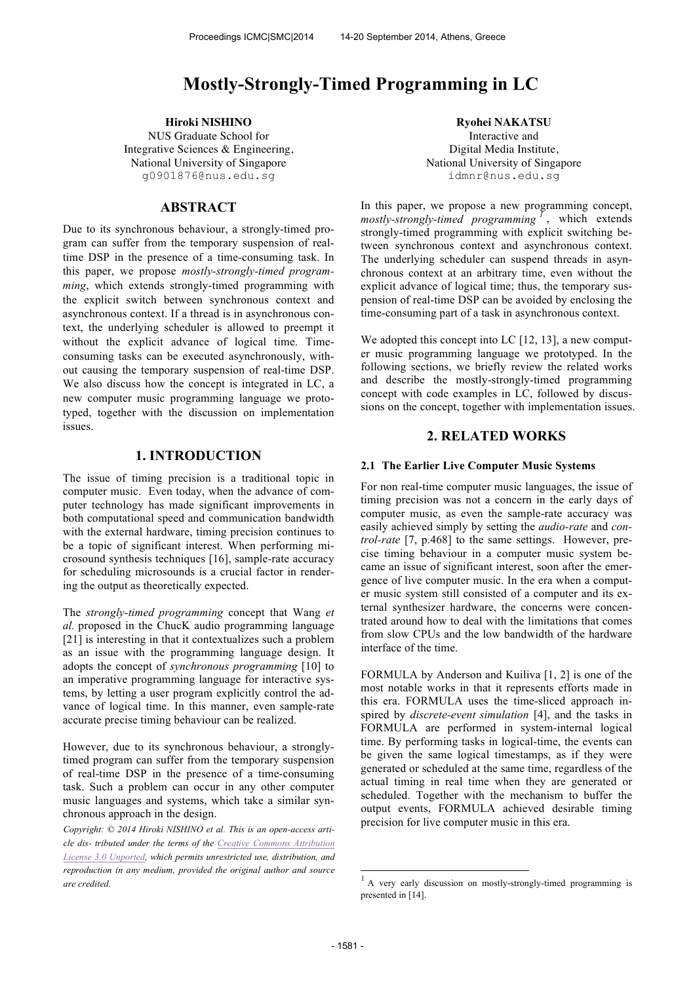# **Mostly-Strongly-Timed Programming in LC**

NUS Graduate School for Integrative Sciences & Engineering, National University of Singapore g0901876@nus.edu.sg

# **ABSTRACT**

Due to its synchronous behaviour, a strongly-timed program can suffer from the temporary suspension of realtime DSP in the presence of a time-consuming task. In this paper, we propose *mostly-strongly-timed programming*, which extends strongly-timed programming with the explicit switch between synchronous context and asynchronous context. If a thread is in asynchronous context, the underlying scheduler is allowed to preempt it without the explicit advance of logical time. Timeconsuming tasks can be executed asynchronously, without causing the temporary suspension of real-time DSP. We also discuss how the concept is integrated in LC, a new computer music programming language we prototyped, together with the discussion on implementation issues.

# **1. INTRODUCTION**

The issue of timing precision is a traditional topic in computer music. Even today, when the advance of computer technology has made significant improvements in both computational speed and communication bandwidth with the external hardware, timing precision continues to be a topic of significant interest. When performing microsound synthesis techniques [16], sample-rate accuracy for scheduling microsounds is a crucial factor in rendering the output as theoretically expected.

The *strongly-timed programming* concept that Wang *et al.* proposed in the ChucK audio programming language [21] is interesting in that it contextualizes such a problem as an issue with the programming language design. It adopts the concept of *synchronous programming* [10] to an imperative programming language for interactive systems, by letting a user program explicitly control the advance of logical time. In this manner, even sample-rate accurate precise timing behaviour can be realized.

However, due to its synchronous behaviour, a stronglytimed program can suffer from the temporary suspension of real-time DSP in the presence of a time-consuming task. Such a problem can occur in any other computer music languages and systems, which take a similar synchronous approach in the design.

 *Copyright: © 2014 Hiroki NISHINO et al. This is an open-access article dis- tributed under the terms of the Creative Commons Attribution License 3.0 Unported, which permits unrestricted use, distribution, and reproduction in any medium, provided the original author and source are credited.*

**Hiroki NISHINO Ryohei NAKATSU** Interactive and Digital Media Institute, National University of Singapore idmnr@nus.edu.sg

> In this paper, we propose a new programming concept, *mostly-strongly-timed programming <sup>1</sup>* , which extends strongly-timed programming with explicit switching between synchronous context and asynchronous context. The underlying scheduler can suspend threads in asynchronous context at an arbitrary time, even without the explicit advance of logical time; thus, the temporary suspension of real-time DSP can be avoided by enclosing the time-consuming part of a task in asynchronous context.

> We adopted this concept into LC [12, 13], a new computer music programming language we prototyped. In the following sections, we briefly review the related works and describe the mostly-strongly-timed programming concept with code examples in LC, followed by discussions on the concept, together with implementation issues.

#### **2. RELATED WORKS**

#### **2.1 The Earlier Live Computer Music Systems**

For non real-time computer music languages, the issue of timing precision was not a concern in the early days of computer music, as even the sample-rate accuracy was easily achieved simply by setting the *audio-rate* and *control-rate* [7, p.468] to the same settings. However, precise timing behaviour in a computer music system became an issue of significant interest, soon after the emergence of live computer music. In the era when a computer music system still consisted of a computer and its external synthesizer hardware, the concerns were concentrated around how to deal with the limitations that comes from slow CPUs and the low bandwidth of the hardware interface of the time.

FORMULA by Anderson and Kuiliva [1, 2] is one of the most notable works in that it represents efforts made in this era. FORMULA uses the time-sliced approach inspired by *discrete-event simulation* [4], and the tasks in FORMULA are performed in system-internal logical time. By performing tasks in logical-time, the events can be given the same logical timestamps, as if they were generated or scheduled at the same time, regardless of the actual timing in real time when they are generated or scheduled. Together with the mechanism to buffer the output events, FORMULA achieved desirable timing precision for live computer music in this era.

-

<sup>&</sup>lt;sup>1</sup> A very early discussion on mostly-strongly-timed programming is presented in [14].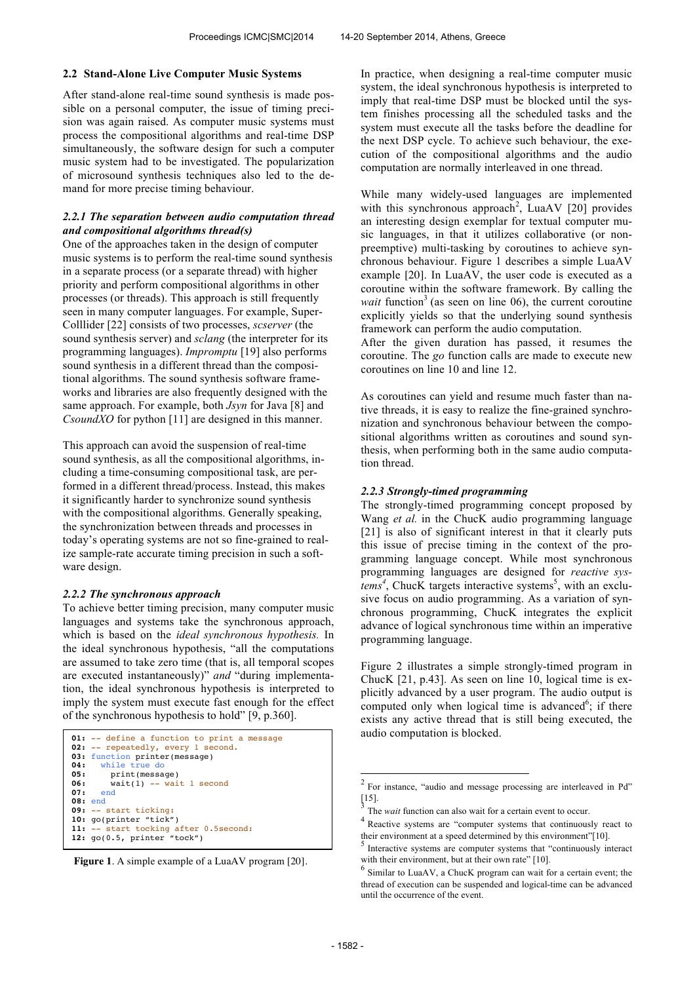#### **2.2 Stand-Alone Live Computer Music Systems**

After stand-alone real-time sound synthesis is made possible on a personal computer, the issue of timing precision was again raised. As computer music systems must process the compositional algorithms and real-time DSP simultaneously, the software design for such a computer music system had to be investigated. The popularization of microsound synthesis techniques also led to the demand for more precise timing behaviour.

#### *2.2.1 The separation between audio computation thread and compositional algorithms thread(s)*

One of the approaches taken in the design of computer music systems is to perform the real-time sound synthesis in a separate process (or a separate thread) with higher priority and perform compositional algorithms in other processes (or threads). This approach is still frequently seen in many computer languages. For example, Super-Colllider [22] consists of two processes, *scserver* (the sound synthesis server) and *sclang* (the interpreter for its programming languages). *Impromptu* [19] also performs sound synthesis in a different thread than the compositional algorithms. The sound synthesis software frameworks and libraries are also frequently designed with the same approach. For example, both *Jsyn* for Java [8] and *CsoundXO* for python [11] are designed in this manner.

This approach can avoid the suspension of real-time sound synthesis, as all the compositional algorithms, including a time-consuming compositional task, are performed in a different thread/process. Instead, this makes it significantly harder to synchronize sound synthesis with the compositional algorithms. Generally speaking, the synchronization between threads and processes in today's operating systems are not so fine-grained to realize sample-rate accurate timing precision in such a software design.

#### *2.2.2 The synchronous approach*

To achieve better timing precision, many computer music languages and systems take the synchronous approach, which is based on the *ideal synchronous hypothesis.* In the ideal synchronous hypothesis, "all the computations are assumed to take zero time (that is, all temporal scopes are executed instantaneously)" *and* "during implementation, the ideal synchronous hypothesis is interpreted to imply the system must execute fast enough for the effect of the synchronous hypothesis to hold" [9, p.360].

```
01: -- define a function to print a message
02: -- repeatedly, every 1 second.
03: function printer(message)<br>04: while true do
       while true do
05: print(message)<br>06: wait(1) -- wai
06: wait(1) -- wait 1 second<br>07: end
       07: end
08: end
09: -- start ticking:
10: go(printer "tick")
11: -- start tocking after 0.5second:
12: go(0.5, printer "tock")
```
**Figure 1**. A simple example of a LuaAV program [20].

In practice, when designing a real-time computer music system, the ideal synchronous hypothesis is interpreted to imply that real-time DSP must be blocked until the system finishes processing all the scheduled tasks and the system must execute all the tasks before the deadline for the next DSP cycle. To achieve such behaviour, the execution of the compositional algorithms and the audio computation are normally interleaved in one thread.

While many widely-used languages are implemented with this synchronous approach<sup>2</sup>, LuaAV [20] provides an interesting design exemplar for textual computer music languages, in that it utilizes collaborative (or nonpreemptive) multi-tasking by coroutines to achieve synchronous behaviour. Figure 1 describes a simple LuaAV example [20]. In LuaAV, the user code is executed as a coroutine within the software framework. By calling the *wait* function<sup>3</sup> (as seen on line 06), the current coroutine explicitly yields so that the underlying sound synthesis framework can perform the audio computation.

After the given duration has passed, it resumes the coroutine. The *go* function calls are made to execute new coroutines on line 10 and line 12.

As coroutines can yield and resume much faster than native threads, it is easy to realize the fine-grained synchronization and synchronous behaviour between the compositional algorithms written as coroutines and sound synthesis, when performing both in the same audio computation thread.

#### *2.2.3 Strongly-timed programming*

The strongly-timed programming concept proposed by Wang *et al.* in the ChucK audio programming language [21] is also of significant interest in that it clearly puts this issue of precise timing in the context of the programming language concept. While most synchronous programming languages are designed for *reactive sys* $tems<sup>4</sup>$ , ChucK targets interactive systems<sup>5</sup>, with an exclusive focus on audio programming. As a variation of synchronous programming, ChucK integrates the explicit advance of logical synchronous time within an imperative programming language.

Figure 2 illustrates a simple strongly-timed program in ChucK [21, p.43]. As seen on line 10, logical time is explicitly advanced by a user program. The audio output is computed only when logical time is advanced<sup>6</sup>; if there exists any active thread that is still being executed, the audio computation is blocked.

<sup>&</sup>lt;sup>2</sup> For instance, "audio and message processing are interleaved in Pd" [15].

<sup>3</sup> The *wait* function can also wait for a certain event to occur.

<sup>&</sup>lt;sup>4</sup> Reactive systems are "computer systems that continuously react to their environment at a speed determined by this environment"[10].

<sup>&</sup>lt;sup>5</sup> Interactive systems are computer systems that "continuously interact with their environment, but at their own rate" [10].

<sup>6</sup> Similar to LuaAV, a ChucK program can wait for a certain event; the thread of execution can be suspended and logical-time can be advanced until the occurrence of the event.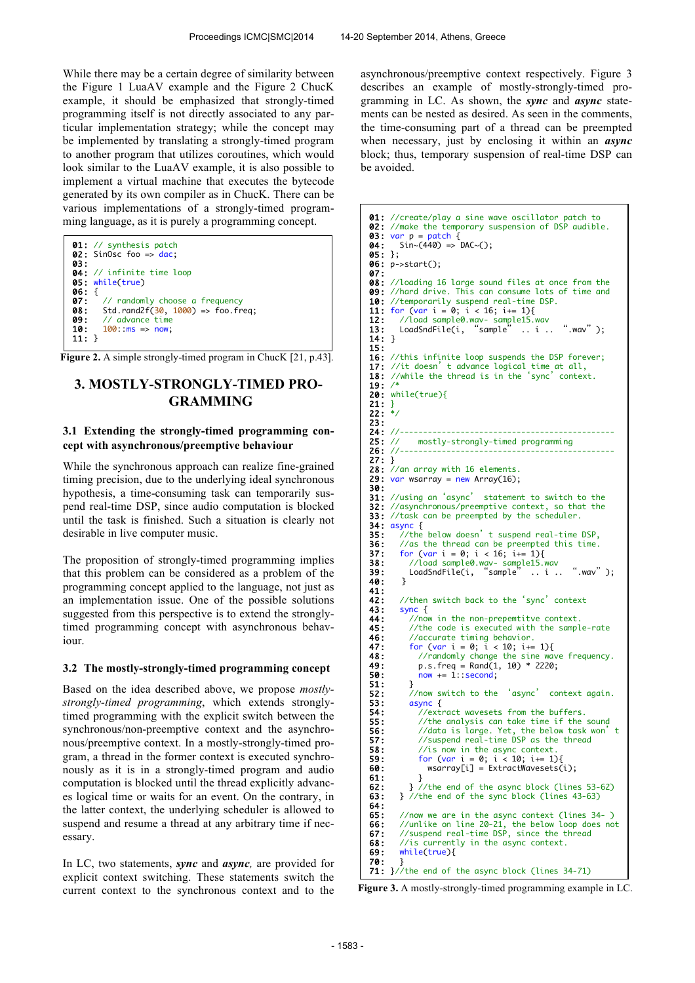While there may be a certain degree of similarity between the Figure 1 LuaAV example and the Figure 2 ChucK example, it should be emphasized that strongly-timed programming itself is not directly associated to any particular implementation strategy; while the concept may be implemented by translating a strongly-timed program to another program that utilizes coroutines, which would look similar to the LuaAV example, it is also possible to implement a virtual machine that executes the bytecode generated by its own compiler as in ChucK. There can be various implementations of a strongly-timed programming language, as it is purely a programming concept.



**Figure 2.** A simple strongly-timed program in ChucK [21, p.43].

# **3. MOSTLY-STRONGLY-TIMED PRO-GRAMMING**

#### **3.1 Extending the strongly-timed programming concept with asynchronous/preemptive behaviour**

While the synchronous approach can realize fine-grained timing precision, due to the underlying ideal synchronous hypothesis, a time-consuming task can temporarily suspend real-time DSP, since audio computation is blocked until the task is finished. Such a situation is clearly not desirable in live computer music.

The proposition of strongly-timed programming implies that this problem can be considered as a problem of the programming concept applied to the language, not just as an implementation issue. One of the possible solutions suggested from this perspective is to extend the stronglytimed programming concept with asynchronous behaviour.

#### **3.2 The mostly-strongly-timed programming concept**

Based on the idea described above, we propose *mostlystrongly-timed programming*, which extends stronglytimed programming with the explicit switch between the synchronous/non-preemptive context and the asynchronous/preemptive context. In a mostly-strongly-timed program, a thread in the former context is executed synchronously as it is in a strongly-timed program and audio computation is blocked until the thread explicitly advances logical time or waits for an event. On the contrary, in the latter context, the underlying scheduler is allowed to suspend and resume a thread at any arbitrary time if necessary.

In LC, two statements, *sync* and *async,* are provided for explicit context switching. These statements switch the current context to the synchronous context and to the asynchronous/preemptive context respectively. Figure 3 describes an example of mostly-strongly-timed programming in LC. As shown, the *sync* and *async* statements can be nested as desired. As seen in the comments, the time-consuming part of a thread can be preempted when necessary, just by enclosing it within an *async* block; thus, temporary suspension of real-time DSP can be avoided.

```
01: //create/play a sine wave oscillator patch to<br>02: //make the temporary suspension of DSP audible.
03: var p = patch \{04: Sin ~ (440) => DAC ~ ();
05: };
06: p->start();
07:<br>08: //loading 16 large sound files at once from the
09: //hard drive. This can consume lots of time and 10: //temporarily suspend real-time DSP.
10: //temporarily suspend real-time DSP.<br>11: for (var i = 0; i < 16; i += 1){
11: for \frac{\text{var}}{i} = 0; i < 16; i == 1)<br>12: //load sample0.wav- sample15.
12: //load sample0.wav- sample15.wav
13: LoadSndFile(i, "sample" .. i .. ".wav");
13: LoadSndFile(i,<br>14: }
15: 
16: //this infinite loop suspends the DSP forever;<br>17: //it doesn't advance logical time at all,
17: //it doesn't advance logical time at all,<br>18: //while the thread is in the 'sync' context.
19: /* 
20: while(true){<br>21: }<br>22: */
21:22:23: 
24: //----------------------------------------------
                mostly-strongly-timed programming
26: //----------------------------------------------
27: } 
28: \frac{7}{a}n array with 16 elements.<br>29: var wsarray = new Array(16);
      var wsarray = new Array(16);
30:<br>31: //using an 'async'
31: //using an 'async' statement to switch to the<br>32: //asynchronous/preemptive context, so that the
       //asynchronous/preemptive context, so that the
33: //task can be preempted by the scheduler.
<mark>34: async {</mark><br>35:   //the below doesn't suspend real-time DSP,
36: //as the thread can be preempted this time.<br>37: for (var i = 0; i < 16; i == 1){
37: for (var i = 0; i < 16; i+=1){<br>38: //load sample0.wav- sample15.w
<mark>38:</mark>      //load sample0.wav- sample15.wav<br>39:      LoadSndFile(i, "sample" .. i .. ".wav" );
40: } 
41:42:42: //then switch back to the 'sync' context<br>43: sync {
43: sync {<br>44: //no
44: //now in the non-prepemtitve context.<br>45: //the code is executed with the sampl
45: //the code is executed with the sample-rate<br>46: //accurate timing behavior.<br>47: for (var i = 0; i < 10; i = 1){
46: //accurate timing behavior.
47: for (var i = 0; i < 10; i+= 1){
48: //randomly change the sine wave frequency.<br>49: p.s. freq = Rand(1, 10) * 2220:
49: p.s.freq = Rand(1, 10) * 2220;
50: now += 1::second; 
\begin{matrix} 51: \\ 52: \end{matrix}52: //now switch to the 'async' context again.<br>53: async {<br>54: //extract wavesets from the buffers.<br>55: //the analysis can take time if the sound
             async {
                54: //extract wavesets from the buffers. 
55: //the analysis can take time if the sound<br>56: //data is large. Yet, the below task won'
56: //data is large. Yet, the below task won'<br>57: //suspend real-time DSP as the thread
57: //suspend real-time DSP as the thread<br>58: //is now in the async context.
58: //is now in the async context.<br>59: for (var i = 0; i < 10; i+= 1){
59: for \{var i = 0; i < 10; i == 1\}<br>
60: wsarray[i] = ExtractWavesets(i);<br>
61: }
61: } 
62: } //the end of the async block (lines 53-62)
63: } //the end of the sync block (lines 43-63)
64:65:65: //now we are in the async context (lines 34-)<br>66: //unlike on line 20-21, the below loop does no
66: //unlike on line 20-21, the below loop does not
67: //suspend real-time DSP, since the thread
68: //is currently in the async context.<br>69: while(true){
          while(true){
70: }<br>71: }//the end of the async block (lines 34-71)
```
**Figure 3.** A mostly-strongly-timed programming example in LC.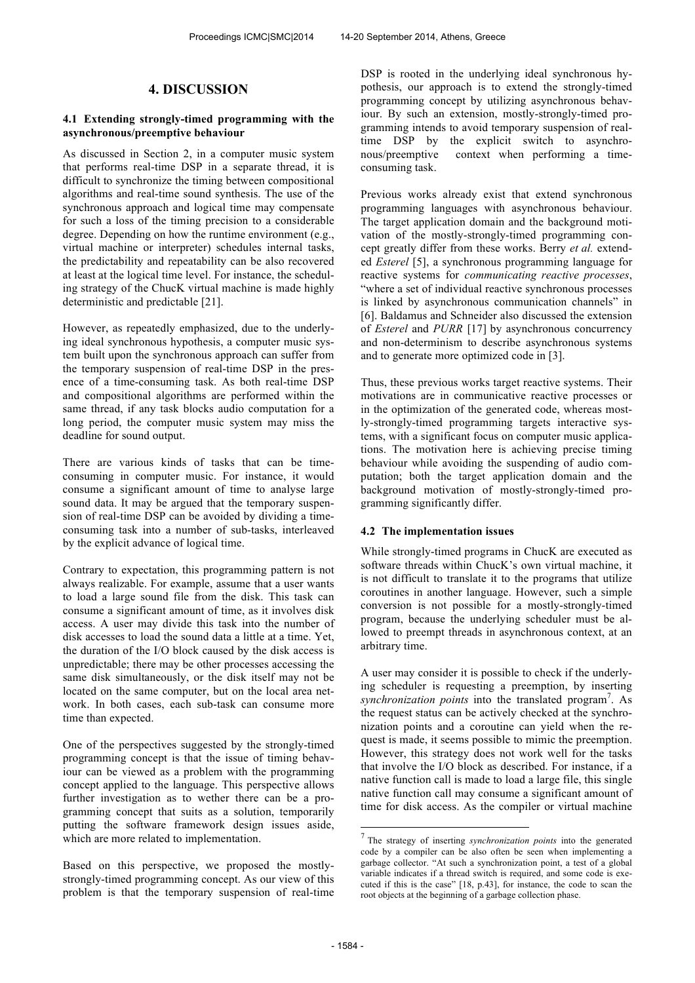# **4. DISCUSSION**

# **4.1 Extending strongly-timed programming with the asynchronous/preemptive behaviour**

As discussed in Section 2, in a computer music system that performs real-time DSP in a separate thread, it is difficult to synchronize the timing between compositional algorithms and real-time sound synthesis. The use of the synchronous approach and logical time may compensate for such a loss of the timing precision to a considerable degree. Depending on how the runtime environment (e.g., virtual machine or interpreter) schedules internal tasks, the predictability and repeatability can be also recovered at least at the logical time level. For instance, the scheduling strategy of the ChucK virtual machine is made highly deterministic and predictable [21].

However, as repeatedly emphasized, due to the underlying ideal synchronous hypothesis, a computer music system built upon the synchronous approach can suffer from the temporary suspension of real-time DSP in the presence of a time-consuming task. As both real-time DSP and compositional algorithms are performed within the same thread, if any task blocks audio computation for a long period, the computer music system may miss the deadline for sound output.

There are various kinds of tasks that can be timeconsuming in computer music. For instance, it would consume a significant amount of time to analyse large sound data. It may be argued that the temporary suspension of real-time DSP can be avoided by dividing a timeconsuming task into a number of sub-tasks, interleaved by the explicit advance of logical time.

Contrary to expectation, this programming pattern is not always realizable. For example, assume that a user wants to load a large sound file from the disk. This task can consume a significant amount of time, as it involves disk access. A user may divide this task into the number of disk accesses to load the sound data a little at a time. Yet, the duration of the I/O block caused by the disk access is unpredictable; there may be other processes accessing the same disk simultaneously, or the disk itself may not be located on the same computer, but on the local area network. In both cases, each sub-task can consume more time than expected.

One of the perspectives suggested by the strongly-timed programming concept is that the issue of timing behaviour can be viewed as a problem with the programming concept applied to the language. This perspective allows further investigation as to wether there can be a programming concept that suits as a solution, temporarily putting the software framework design issues aside, which are more related to implementation.

Based on this perspective, we proposed the mostlystrongly-timed programming concept. As our view of this problem is that the temporary suspension of real-time DSP is rooted in the underlying ideal synchronous hypothesis, our approach is to extend the strongly-timed programming concept by utilizing asynchronous behaviour. By such an extension, mostly-strongly-timed programming intends to avoid temporary suspension of realtime DSP by the explicit switch to asynchronous/preemptive context when performing a timeconsuming task.

Previous works already exist that extend synchronous programming languages with asynchronous behaviour. The target application domain and the background motivation of the mostly-strongly-timed programming concept greatly differ from these works. Berry *et al.* extended *Esterel* [5], a synchronous programming language for reactive systems for *communicating reactive processes*, "where a set of individual reactive synchronous processes is linked by asynchronous communication channels" in [6]. Baldamus and Schneider also discussed the extension of *Esterel* and *PURR* [17] by asynchronous concurrency and non-determinism to describe asynchronous systems and to generate more optimized code in [3].

Thus, these previous works target reactive systems. Their motivations are in communicative reactive processes or in the optimization of the generated code, whereas mostly-strongly-timed programming targets interactive systems, with a significant focus on computer music applications. The motivation here is achieving precise timing behaviour while avoiding the suspending of audio computation; both the target application domain and the background motivation of mostly-strongly-timed programming significantly differ.

# **4.2 The implementation issues**

While strongly-timed programs in ChucK are executed as software threads within ChucK's own virtual machine, it is not difficult to translate it to the programs that utilize coroutines in another language. However, such a simple conversion is not possible for a mostly-strongly-timed program, because the underlying scheduler must be allowed to preempt threads in asynchronous context, at an arbitrary time.

A user may consider it is possible to check if the underlying scheduler is requesting a preemption, by inserting synchronization points into the translated program<sup>7</sup>. As the request status can be actively checked at the synchronization points and a coroutine can yield when the request is made, it seems possible to mimic the preemption. However, this strategy does not work well for the tasks that involve the I/O block as described. For instance, if a native function call is made to load a large file, this single native function call may consume a significant amount of time for disk access. As the compiler or virtual machine

-

<sup>7</sup> The strategy of inserting *synchronization points* into the generated code by a compiler can be also often be seen when implementing a garbage collector. "At such a synchronization point, a test of a global variable indicates if a thread switch is required, and some code is executed if this is the case" [18, p.43], for instance, the code to scan the root objects at the beginning of a garbage collection phase.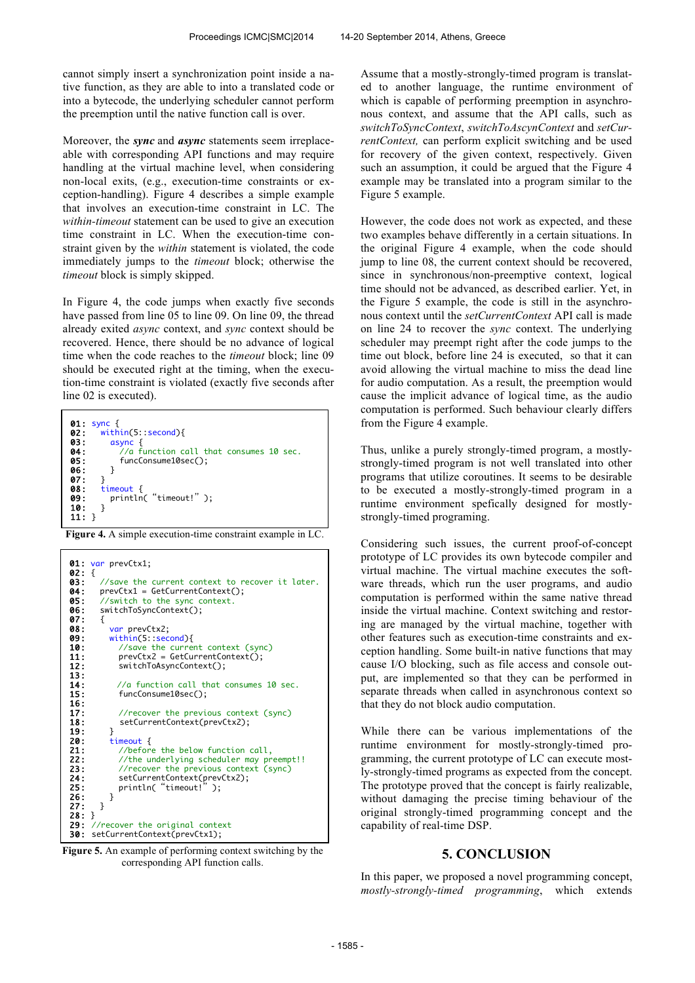cannot simply insert a synchronization point inside a native function, as they are able to into a translated code or into a bytecode, the underlying scheduler cannot perform the preemption until the native function call is over.

Moreover, the *sync* and *async* statements seem irreplaceable with corresponding API functions and may require handling at the virtual machine level, when considering non-local exits, (e.g., execution-time constraints or exception-handling). Figure 4 describes a simple example that involves an execution-time constraint in LC. The *within-timeout* statement can be used to give an execution time constraint in LC. When the execution-time constraint given by the *within* statement is violated, the code immediately jumps to the *timeout* block; otherwise the *timeout* block is simply skipped.

In Figure 4, the code jumps when exactly five seconds have passed from line 05 to line 09. On line 09, the thread already exited *async* context, and *sync* context should be recovered. Hence, there should be no advance of logical time when the code reaches to the *timeout* block; line 09 should be executed right at the timing, when the execution-time constraint is violated (exactly five seconds after line 02 is executed).



**Figure 4.** A simple execution-time constraint example in LC.



 **Figure 5.** An example of performing context switching by the corresponding API function calls.

Assume that a mostly-strongly-timed program is translated to another language, the runtime environment of which is capable of performing preemption in asynchronous context, and assume that the API calls, such as *switchToSyncContext*, *switchToAscynContext* and *setCurrentContext,* can perform explicit switching and be used for recovery of the given context, respectively. Given such an assumption, it could be argued that the Figure 4 example may be translated into a program similar to the Figure 5 example.

However, the code does not work as expected, and these two examples behave differently in a certain situations. In the original Figure 4 example, when the code should jump to line 08, the current context should be recovered, since in synchronous/non-preemptive context, logical time should not be advanced, as described earlier. Yet, in the Figure 5 example, the code is still in the asynchronous context until the *setCurrentContext* API call is made on line 24 to recover the *sync* context. The underlying scheduler may preempt right after the code jumps to the time out block, before line 24 is executed, so that it can avoid allowing the virtual machine to miss the dead line for audio computation. As a result, the preemption would cause the implicit advance of logical time, as the audio computation is performed. Such behaviour clearly differs from the Figure 4 example.

Thus, unlike a purely strongly-timed program, a mostlystrongly-timed program is not well translated into other programs that utilize coroutines. It seems to be desirable to be executed a mostly-strongly-timed program in a runtime environment spefically designed for mostlystrongly-timed programing.

Considering such issues, the current proof-of-concept prototype of LC provides its own bytecode compiler and virtual machine. The virtual machine executes the software threads, which run the user programs, and audio computation is performed within the same native thread inside the virtual machine. Context switching and restoring are managed by the virtual machine, together with other features such as execution-time constraints and exception handling. Some built-in native functions that may cause I/O blocking, such as file access and console output, are implemented so that they can be performed in separate threads when called in asynchronous context so that they do not block audio computation.

While there can be various implementations of the runtime environment for mostly-strongly-timed programming, the current prototype of LC can execute mostly-strongly-timed programs as expected from the concept. The prototype proved that the concept is fairly realizable, without damaging the precise timing behaviour of the original strongly-timed programming concept and the capability of real-time DSP.

# **5. CONCLUSION**

In this paper, we proposed a novel programming concept, *mostly-strongly-timed programming*, which extends